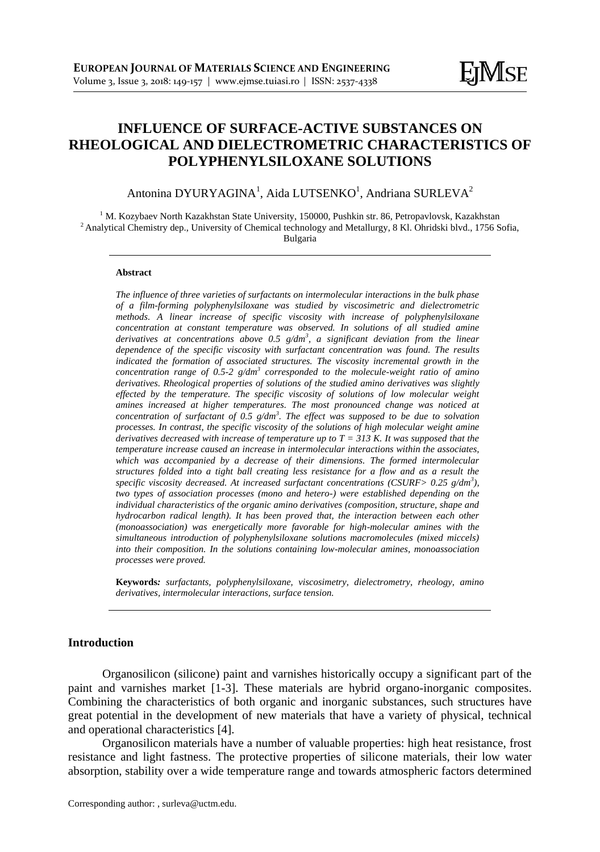# **INFLUENCE OF SURFACE-ACTIVE SUBSTANCES ON RHEOLOGICAL AND DIELECTROMETRIC CHARACTERISTICS OF POLYPHENYLSILOXANE SOLUTIONS**

Antonina DYURYAGINA<sup>1</sup>, Aida LUTSENKO<sup>1</sup>, Andriana SURLEVA<sup>2</sup>

<sup>1</sup> M. Kozybaev North Kazakhstan State University, 150000, Pushkin str. 86, Petropavlovsk, Kazakhstan <sup>2</sup> Analytical Chemistry dep., University of Chemical technology and Metallurgy, 8 Kl. Ohridski blvd., 1756 Sofia, Bulgaria

#### **Abstract**

*The influence of three varieties of surfactants on intermolecular interactions in the bulk phase of a film-forming polyphenylsiloxane was studied by viscosimetric and dielectrometric methods. A linear increase of specific viscosity with increase of polyphenylsiloxane concentration at constant temperature was observed. In solutions of all studied amine derivatives at concentrations above 0.5 g/dm<sup>3</sup> , a significant deviation from the linear dependence of the specific viscosity with surfactant concentration was found. The results indicated the formation of associated structures. The viscosity incremental growth in the concentration range of 0.5-2 g/dm<sup>3</sup> corresponded to the molecule-weight ratio of amino derivatives. Rheological properties of solutions of the studied amino derivatives was slightly effected by the temperature. The specific viscosity of solutions of low molecular weight amines increased at higher temperatures. The most pronounced change was noticed at concentration of surfactant of 0.5 g/dm<sup>3</sup> . The effect was supposed to be due to solvation processes. In contrast, the specific viscosity of the solutions of high molecular weight amine derivatives decreased with increase of temperature up to T = 313 K. It was supposed that the temperature increase caused an increase in intermolecular interactions within the associates,*  which was accompanied by a decrease of their dimensions. The formed intermolecular *structures folded into a tight ball creating less resistance for a flow and as a result the specific viscosity decreased. At increased surfactant concentrations (CSURF> 0.25 g/dm<sup>3</sup> ), two types of association processes (mono and hetero-) were established depending on the individual characteristics of the organic amino derivatives (composition, structure, shape and hydrocarbon radical length). It has been proved that, the interaction between each other (monoassociation) was energetically more favorable for high-molecular amines with the simultaneous introduction of polyphenylsiloxane solutions macromolecules (mixed miccels) into their composition. In the solutions containing low-molecular amines, monoassociation processes were proved.*

**Keywords***: surfactants, polyphenylsiloxane, viscosimetry, dielectrometry, rheology, amino derivatives, intermolecular interactions, surface tension.*

### **Introduction**

Organosilicon (silicone) paint and varnishes historically occupy a significant part of the paint and varnishes market [1-3]. These materials are hybrid organo-inorganic composites. Combining the characteristics of both organic and inorganic substances, such structures have great potential in the development of new materials that have a variety of physical, technical and operational characteristics [4].

Organosilicon materials have a number of valuable properties: high heat resistance, frost resistance and light fastness. The protective properties of silicone materials, their low water absorption, stability over a wide temperature range and towards atmospheric factors determined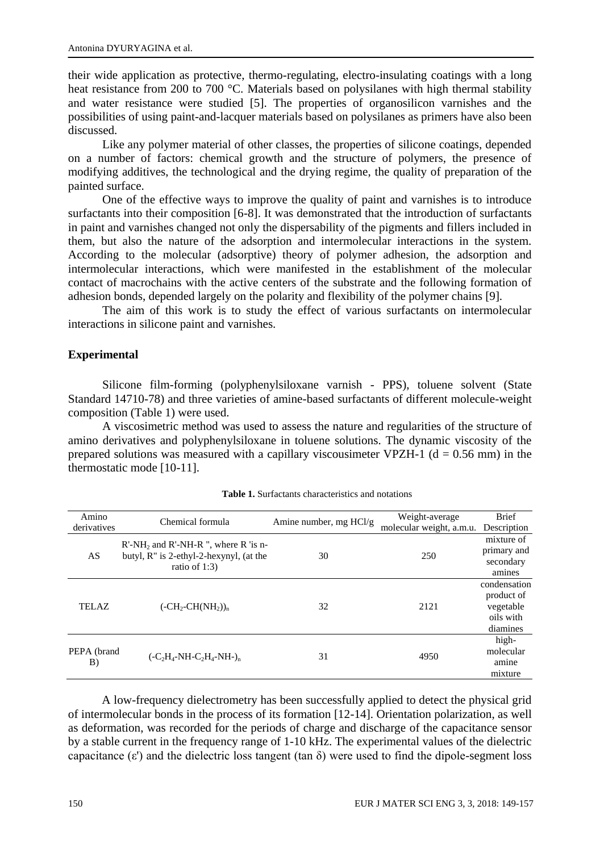their wide application as protective, thermo-regulating, electro-insulating coatings with a long heat resistance from 200 to 700 °C. Materials based on polysilanes with high thermal stability and water resistance were studied [5]. The properties of organosilicon varnishes and the possibilities of using paint-and-lacquer materials based on polysilanes as primers have also been discussed.

Like any polymer material of other classes, the properties of silicone coatings, depended on a number of factors: chemical growth and the structure of polymers, the presence of modifying additives, the technological and the drying regime, the quality of preparation of the painted surface.

One of the effective ways to improve the quality of paint and varnishes is to introduce surfactants into their composition [6-8]. It was demonstrated that the introduction of surfactants in paint and varnishes changed not only the dispersability of the pigments and fillers included in them, but also the nature of the adsorption and intermolecular interactions in the system. According to the molecular (adsorptive) theory of polymer adhesion, the adsorption and intermolecular interactions, which were manifested in the establishment of the molecular contact of macrochains with the active centers of the substrate and the following formation of adhesion bonds, depended largely on the polarity and flexibility of the polymer chains [9].

The aim of this work is to study the effect of various surfactants on intermolecular interactions in silicone paint and varnishes.

### **Experimental**

Silicone film-forming (polyphenylsiloxane varnish - PPS), toluene solvent (State Standard 14710-78) and three varieties of amine-based surfactants of different molecule-weight composition (Table 1) were used.

A viscosimetric method was used to assess the nature and regularities of the structure of amino derivatives and polyphenylsiloxane in toluene solutions. The dynamic viscosity of the prepared solutions was measured with a capillary viscousimeter VPZH-1 ( $d = 0.56$  mm) in the thermostatic mode [10-11].

| Amino<br>derivatives | Chemical formula                                                                                        | Amine number, mg $HC1/g$ | Weight-average<br>molecular weight, a.m.u. | <b>Brief</b><br>Description                                      |
|----------------------|---------------------------------------------------------------------------------------------------------|--------------------------|--------------------------------------------|------------------------------------------------------------------|
| AS                   | $R'-NH2$ and $R'-NH-R$ ", where R 'is n-<br>butyl, R" is 2-ethyl-2-hexynyl, (at the<br>ratio of $1:3$ ) | 30                       | 250                                        | mixture of<br>primary and<br>secondary<br>amines                 |
| TELAZ                | $(-CH2-CH(NH2))n$                                                                                       | 32                       | 2121                                       | condensation<br>product of<br>vegetable<br>oils with<br>diamines |
| PEPA (brand<br>B)    | $(-C_2H_4-NH-C_2H_4-NH)$ <sub>n</sub>                                                                   | 31                       | 4950                                       | high-<br>molecular<br>amine<br>mixture                           |

A low-frequency dielectrometry has been successfully applied to detect the physical grid of intermolecular bonds in the process of its formation [12-14]. Orientation polarization, as well as deformation, was recorded for the periods of charge and discharge of the capacitance sensor by a stable current in the frequency range of 1-10 kHz. The experimental values of the dielectric capacitance ( $\varepsilon'$ ) and the dielectric loss tangent (tan  $\delta$ ) were used to find the dipole-segment loss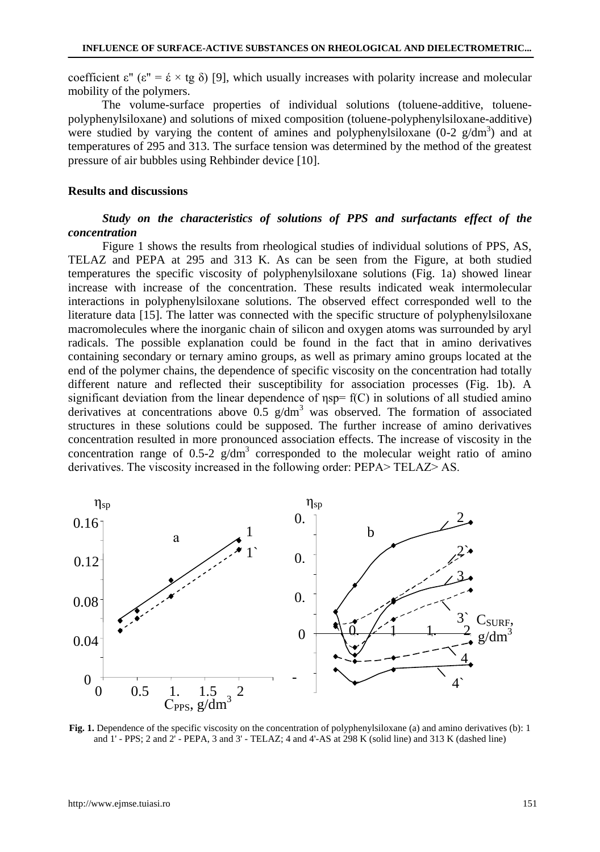coefficient  $\varepsilon$ " ( $\varepsilon$ " = έ × tg δ) [9], which usually increases with polarity increase and molecular mobility of the polymers.

The volume-surface properties of individual solutions (toluene-additive, toluenepolyphenylsiloxane) and solutions of mixed composition (toluene-polyphenylsiloxane-additive) were studied by varying the content of amines and polyphenylsiloxane  $(0-2)$  g/dm<sup>3</sup>) and at temperatures of 295 and 313. The surface tension was determined by the method of the greatest pressure of air bubbles using Rehbinder device [10].

#### **Results and discussions**

## *Study on the characteristics of solutions of PPS and surfactants effect of the concentration*

Figure 1 shows the results from rheological studies of individual solutions of PPS, AS, TELAZ and PEPA at 295 and 313 K. As can be seen from the Figure, at both studied temperatures the specific viscosity of polyphenylsiloxane solutions (Fig. 1a) showed linear increase with increase of the concentration. These results indicated weak intermolecular interactions in polyphenylsiloxane solutions. The observed effect corresponded well to the literature data [15]. The latter was connected with the specific structure of polyphenylsiloxane macromolecules where the inorganic chain of silicon and oxygen atoms was surrounded by aryl radicals. The possible explanation could be found in the fact that in amino derivatives containing secondary or ternary amino groups, as well as primary amino groups located at the end of the polymer chains, the dependence of specific viscosity on the concentration had totally different nature and reflected their susceptibility for association processes (Fig. 1b). A significant deviation from the linear dependence of  $\eta sp = f(C)$  in solutions of all studied amino derivatives at concentrations above  $0.5 \text{ g/cm}^3$  was observed. The formation of associated structures in these solutions could be supposed. The further increase of amino derivatives concentration resulted in more pronounced association effects. The increase of viscosity in the concentration range of 0.5-2  $g/dm<sup>3</sup>$  corresponded to the molecular weight ratio of amino derivatives. The viscosity increased in the following order: PEPA> TELAZ> АS.



**Fig. 1.** Dependence of the specific viscosity on the concentration of polyphenylsiloxane (a) and amino derivatives (b): 1 and  $1'$  - PPS; 2 and  $2'$  - PEPA, 3 and  $3'$  - TELAZ; 4 and 4'-AS at 298 K (solid line) and 313 K (dashed line)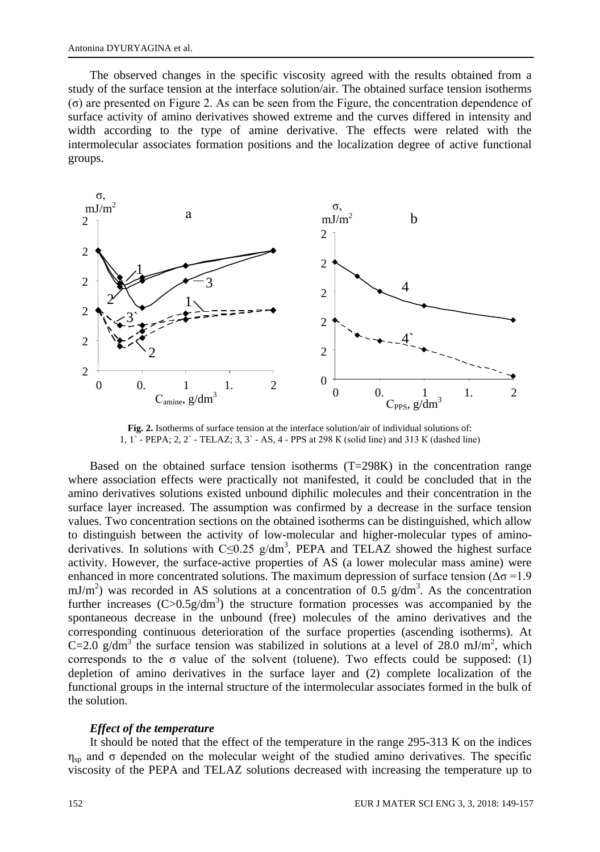The observed changes in the specific viscosity agreed with the results obtained from a study of the surface tension at the interface solution/air. The obtained surface tension isotherms (ζ) are presented on Figure 2. As can be seen from the Figure, the concentration dependence of surface activity of amino derivatives showed extreme and the curves differed in intensity and width according to the type of amine derivative. The effects were related with the intermolecular associates formation positions and the localization degree of active functional groups.



**Fig. 2.** Isotherms of surface tension at the interface solution/air of individual solutions of: 1, 1` - PEPA; 2, 2` - TELAZ; 3, 3` - AS, 4 - PPS at 298 К (solid line) and 313 К (dashed line)

Based on the obtained surface tension isotherms (T=298K) in the concentration range where association effects were practically not manifested, it could be concluded that in the amino derivatives solutions existed unbound diphilic molecules and their concentration in the surface layer increased. The assumption was confirmed by a decrease in the surface tension values. Two concentration sections on the obtained isotherms can be distinguished, which allow to distinguish between the activity of low-molecular and higher-molecular types of aminoderivatives. In solutions with C $\leq$ 0.25 g/dm<sup>3</sup>, PEPA and TELAZ showed the highest surface activity. However, the surface-active properties of AS (a lower molecular mass amine) were enhanced in more concentrated solutions. The maximum depression of surface tension ( $\Delta \sigma = 1.9$ ) mJ/m<sup>2</sup>) was recorded in AS solutions at a concentration of 0.5 g/dm<sup>3</sup>. As the concentration further increases  $(C>0.5g/dm^3)$  the structure formation processes was accompanied by the spontaneous decrease in the unbound (free) molecules of the amino derivatives and the corresponding continuous deterioration of the surface properties (ascending isotherms). At C=2.0 g/dm<sup>3</sup> the surface tension was stabilized in solutions at a level of 28.0 mJ/m<sup>2</sup>, which corresponds to the  $\sigma$  value of the solvent (toluene). Two effects could be supposed: (1) depletion of amino derivatives in the surface layer and (2) complete localization of the functional groups in the internal structure of the intermolecular associates formed in the bulk of the solution.

#### *Effect of the temperature*

It should be noted that the effect of the temperature in the range 295-313 K on the indices  $\eta_{sp}$  and  $\sigma$  depended on the molecular weight of the studied amino derivatives. The specific viscosity of the PEPA and TELAZ solutions decreased with increasing the temperature up to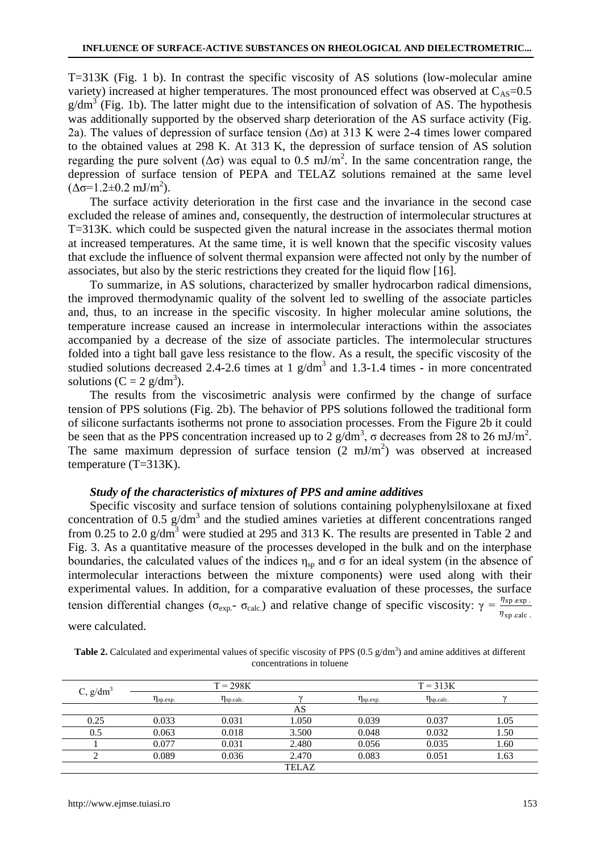T=313K (Fig. 1 b). In contrast the specific viscosity of AS solutions (low-molecular amine variety) increased at higher temperatures. The most pronounced effect was observed at  $C_{AS}=0.5$  $g/dm<sup>3</sup>$  (Fig. 1b). The latter might due to the intensification of solvation of AS. The hypothesis was additionally supported by the observed sharp deterioration of the AS surface activity (Fig. 2a). The values of depression of surface tension  $(\Delta \sigma)$  at 313 K were 2-4 times lower compared to the obtained values at 298 K. At 313 K, the depression of surface tension of AS solution regarding the pure solvent ( $\Delta \sigma$ ) was equal to 0.5 mJ/m<sup>2</sup>. In the same concentration range, the depression of surface tension of PEPA and TELAZ solutions remained at the same level  $(\Delta \sigma = 1.2 \pm 0.2 \text{ mJ/m}^2).$ 

The surface activity deterioration in the first case and the invariance in the second case excluded the release of amines and, consequently, the destruction of intermolecular structures at T=313K. which could be suspected given the natural increase in the associates thermal motion at increased temperatures. At the same time, it is well known that the specific viscosity values that exclude the influence of solvent thermal expansion were affected not only by the number of associates, but also by the steric restrictions they created for the liquid flow [16].

To summarize, in AS solutions, characterized by smaller hydrocarbon radical dimensions, the improved thermodynamic quality of the solvent led to swelling of the associate particles and, thus, to an increase in the specific viscosity. In higher molecular amine solutions, the temperature increase caused an increase in intermolecular interactions within the associates accompanied by a decrease of the size of associate particles. The intermolecular structures folded into a tight ball gave less resistance to the flow. As a result, the specific viscosity of the studied solutions decreased 2.4-2.6 times at 1  $g/dm<sup>3</sup>$  and 1.3-1.4 times - in more concentrated solutions (C = 2  $g/dm^3$ ).

The results from the viscosimetric analysis were confirmed by the change of surface tension of PPS solutions (Fig. 2b). The behavior of PPS solutions followed the traditional form of silicone surfactants isotherms not prone to association processes. From the Figure 2b it could be seen that as the PPS concentration increased up to 2  $\text{g/cm}^3$ ,  $\sigma$  decreases from 28 to 26 mJ/m<sup>2</sup>. The same maximum depression of surface tension  $(2 \text{ mJ/m}^2)$  was observed at increased temperature (T=313K).

### *Study of the characteristics of mixtures of PPS and amine additives*

Specific viscosity and surface tension of solutions containing polyphenylsiloxane at fixed concentration of  $0.5 \text{ g/dm}^3$  and the studied amines varieties at different concentrations ranged from 0.25 to 2.0  $g/dm^3$  were studied at 295 and 313 K. The results are presented in Table 2 and Fig. 3. As a quantitative measure of the processes developed in the bulk and on the interphase boundaries, the calculated values of the indices  $\eta_{\rm sn}$  and  $\sigma$  for an ideal system (in the absence of intermolecular interactions between the mixture components) were used along with their experimental values. In addition, for a comparative evaluation of these processes, the surface tension differential changes ( $\sigma_{exp}$ -  $\sigma_{calc}$ ) and relative change of specific viscosity:  $\gamma = \frac{\eta_{sp,exp}}{\eta_{sp,calc}}$ . were calculated.

**Table 2.** Calculated and experimental values of specific viscosity of PPS  $(0.5 \text{ g/dm}^3)$  and amine additives at different concentrations in toluene

| C, g/dm <sup>3</sup> |                       | $T = 298K$        |              |                       | $T = 313K$        |      |
|----------------------|-----------------------|-------------------|--------------|-----------------------|-------------------|------|
|                      | $\eta_{\rm sp. exp.}$ | $\eta_{sp,calc.}$ |              | $\eta_{\rm sp. exp.}$ | $\eta_{sp.calc.}$ |      |
|                      |                       |                   | AS           |                       |                   |      |
| 0.25                 | 0.033                 | 0.031             | 1.050        | 0.039                 | 0.037             | 1.05 |
| 0.5                  | 0.063                 | 0.018             | 3.500        | 0.048                 | 0.032             | 1.50 |
|                      | 0.077                 | 0.031             | 2.480        | 0.056                 | 0.035             | 1.60 |
|                      | 0.089                 | 0.036             | 2.470        | 0.083                 | 0.051             | 1.63 |
|                      |                       |                   | <b>TELAZ</b> |                       |                   |      |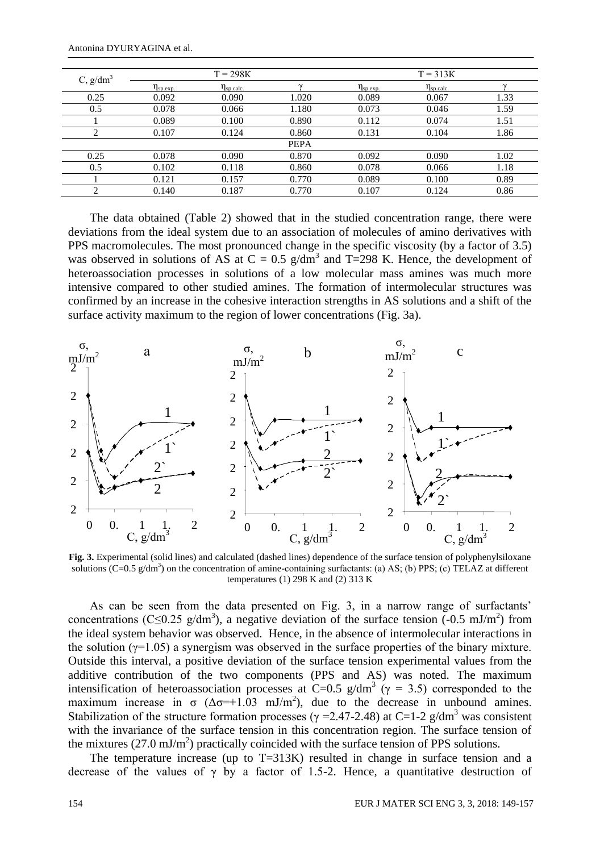Antonina DYURYAGINA et al.

| C, g/dm <sup>3</sup> |                       | $T = 298K$        |             |                       | $T = 313K$        |      |
|----------------------|-----------------------|-------------------|-------------|-----------------------|-------------------|------|
|                      | $\eta_{\rm sp. exp.}$ | $\eta_{sp,calc.}$ |             | $\eta_{\rm sp. exp.}$ | $\eta_{sp,calc.}$ |      |
| 0.25                 | 0.092                 | 0.090             | 1.020       | 0.089                 | 0.067             | 1.33 |
| 0.5                  | 0.078                 | 0.066             | 1.180       | 0.073                 | 0.046             | 1.59 |
|                      | 0.089                 | 0.100             | 0.890       | 0.112                 | 0.074             | 1.51 |
|                      | 0.107                 | 0.124             | 0.860       | 0.131                 | 0.104             | 1.86 |
|                      |                       |                   | <b>PEPA</b> |                       |                   |      |
| 0.25                 | 0.078                 | 0.090             | 0.870       | 0.092                 | 0.090             | 1.02 |
| 0.5                  | 0.102                 | 0.118             | 0.860       | 0.078                 | 0.066             | 1.18 |
|                      | 0.121                 | 0.157             | 0.770       | 0.089                 | 0.100             | 0.89 |
|                      | 0.140                 | 0.187             | 0.770       | 0.107                 | 0.124             | 0.86 |

The data obtained (Table 2) showed that in the studied concentration range, there were deviations from the ideal system due to an association of molecules of amino derivatives with PPS macromolecules. The most pronounced change in the specific viscosity (by a factor of 3.5) was observed in solutions of AS at C = 0.5 g/dm<sup>3</sup> and T=298 K. Hence, the development of heteroassociation processes in solutions of a low molecular mass amines was much more intensive compared to other studied amines. The formation of intermolecular structures was confirmed by an increase in the cohesive interaction strengths in AS solutions and a shift of the surface activity maximum to the region of lower concentrations (Fig. 3a).



**Fig. 3.** Experimental (solid lines) and calculated (dashed lines) dependence of the surface tension of polyphenylsiloxane solutions (C=0.5 g/dm<sup>3</sup>) on the concentration of amine-containing surfactants: (a) AS; (b) PPS; (c) TELAZ at different temperatures (1) 298 K and (2) 313 K

As can be seen from the data presented on Fig. 3, in a narrow range of surfactants' concentrations (C≤0.25 g/dm<sup>3</sup>), a negative deviation of the surface tension (-0.5 mJ/m<sup>2</sup>) from the ideal system behavior was observed. Hence, in the absence of intermolecular interactions in the solution ( $\gamma$ =1.05) a synergism was observed in the surface properties of the binary mixture. Outside this interval, a positive deviation of the surface tension experimental values from the additive contribution of the two components (PPS and AS) was noted. The maximum intensification of heteroassociation processes at C=0.5 g/dm<sup>3</sup> ( $\gamma$  = 3.5) corresponded to the maximum increase in  $\sigma$  ( $\Delta \sigma$ =+1.03 mJ/m<sup>2</sup>), due to the decrease in unbound amines. Stabilization of the structure formation processes ( $\gamma$  =2.47-2.48) at C=1-2 g/dm<sup>3</sup> was consistent with the invariance of the surface tension in this concentration region. The surface tension of the mixtures (27.0 mJ/m<sup>2</sup>) practically coincided with the surface tension of PPS solutions.

The temperature increase (up to  $T=313K$ ) resulted in change in surface tension and a decrease of the values of  $\gamma$  by a factor of 1.5-2. Hence, a quantitative destruction of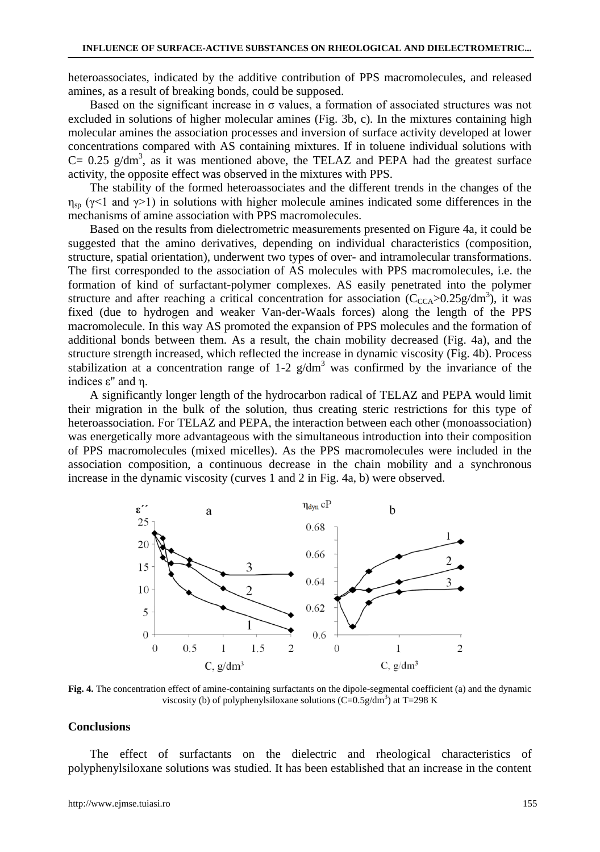heteroassociates, indicated by the additive contribution of PPS macromolecules, and released amines, as a result of breaking bonds, could be supposed.

Based on the significant increase in  $\sigma$  values, a formation of associated structures was not excluded in solutions of higher molecular amines (Fig. 3b, c). In the mixtures containing high molecular amines the association processes and inversion of surface activity developed at lower concentrations compared with AS containing mixtures. If in toluene individual solutions with  $C = 0.25$  g/dm<sup>3</sup>, as it was mentioned above, the TELAZ and PEPA had the greatest surface activity, the opposite effect was observed in the mixtures with PPS.

The stability of the formed heteroassociates and the different trends in the changes of the  $\eta_{\rm sn}$  (γ<1 and γ>1) in solutions with higher molecule amines indicated some differences in the mechanisms of amine association with PPS macromolecules.

Based on the results from dielectrometric measurements presented on Figure 4a, it could be suggested that the amino derivatives, depending on individual characteristics (composition, structure, spatial orientation), underwent two types of over- and intramolecular transformations. The first corresponded to the association of AS molecules with PPS macromolecules, i.e. the formation of kind of surfactant-polymer complexes. AS easily penetrated into the polymer structure and after reaching a critical concentration for association  $(C_{\text{CCA}} > 0.25 \text{g/dm}^3)$ , it was fixed (due to hydrogen and weaker Van-der-Waals forces) along the length of the PPS macromolecule. In this way AS promoted the expansion of PPS molecules and the formation of additional bonds between them. As a result, the chain mobility decreased (Fig. 4a), and the structure strength increased, which reflected the increase in dynamic viscosity (Fig. 4b). Process stabilization at a concentration range of 1-2  $g/dm<sup>3</sup>$  was confirmed by the invariance of the indices ε" and η.

A significantly longer length of the hydrocarbon radical of TELAZ and PEPA would limit their migration in the bulk of the solution, thus creating steric restrictions for this type of heteroassociation. For TELAZ and PEPA, the interaction between each other (monoassociation) was energetically more advantageous with the simultaneous introduction into their composition of PPS macromolecules (mixed micelles). As the PPS macromolecules were included in the association composition, a continuous decrease in the chain mobility and a synchronous increase in the dynamic viscosity (curves 1 and 2 in Fig. 4a, b) were observed.



**Fig. 4.** The concentration effect of amine-containing surfactants on the dipole-segmental coefficient (a) and the dynamic viscosity (b) of polyphenylsiloxane solutions  $(C=0.5g/dm^3)$  at T=298 K

### **Conclusions**

The effect of surfactants on the dielectric and rheological characteristics of polyphenylsiloxane solutions was studied. It has been established that an increase in the content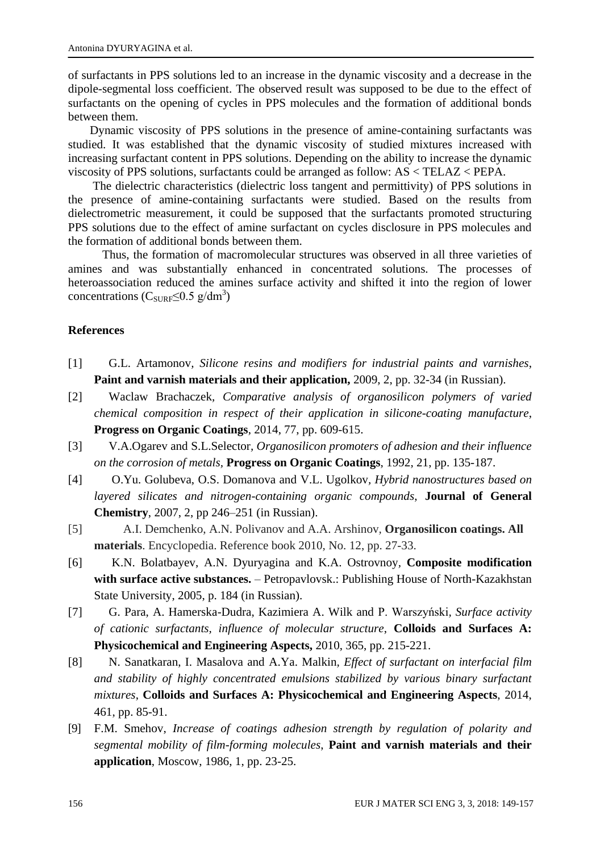of surfactants in PPS solutions led to an increase in the dynamic viscosity and a decrease in the dipole-segmental loss coefficient. The observed result was supposed to be due to the effect of surfactants on the opening of cycles in PPS molecules and the formation of additional bonds between them.

Dynamic viscosity of PPS solutions in the presence of amine-containing surfactants was studied. It was established that the dynamic viscosity of studied mixtures increased with increasing surfactant content in PPS solutions. Depending on the ability to increase the dynamic viscosity of PPS solutions, surfactants could be arranged as follow: AS < TELAZ < PEPA.

The dielectric characteristics (dielectric loss tangent and permittivity) of PPS solutions in the presence of amine-containing surfactants were studied. Based on the results from dielectrometric measurement, it could be supposed that the surfactants promoted structuring PPS solutions due to the effect of amine surfactant on cycles disclosure in PPS molecules and the formation of additional bonds between them.

Thus, the formation of macromolecular structures was observed in all three varieties of amines and was substantially enhanced in concentrated solutions. The processes of heteroassociation reduced the amines surface activity and shifted it into the region of lower concentrations ( $C_{\text{SURF}} \leq 0.5 \text{ g/dm}^3$ )

### **References**

- [1] G.L. Artamonov*, Silicone resins and modifiers for industrial paints and varnishes*, **Paint and varnish materials and their application,** 2009, 2, pp. 32-34 (in Russian).
- [2] Waclaw Brachaczek*, Comparative analysis of organosilicon polymers of varied chemical composition in respect of their application in silicone-coating manufacture*, **Progress on Organic Coatings**, 2014, 77, pp. 609-615.
- [3] V.A.Ogarev and S.L.Selector*, Organosilicon promoters of adhesion and their influence on the corrosion of metals,* **Progress on Organic Coatings**, 1992, 21, pp. 135-187.
- [4] O.Yu. Golubeva, O.S. Domanova and V.L. Ugolkov*, Hybrid nanostructures based on layered silicates and nitrogen-containing organic compounds*, **Journal of General Chemistry**, 2007, 2, pp 246–251 (in Russian).
- [5] A.I. Demchenko, A.N. Polivanov and A.A. Arshinov*,* **Organosilicon coatings. All materials**. Encyclopedia. Reference book 2010, No. 12, pp. 27-33.
- [6] K.N. Bolatbayev, A.N. Dyuryagina and K.A. Ostrovnoy*,* **Composite modification with surface active substances.** – Petropavlovsk.: Publishing House of North-Kazakhstan State University, 2005, p. 184 (in Russian).
- [7] G. Para, A. Hamerska-Dudra, Kazimiera A. Wilk and P. Warszyński*, Surface activity of cationic surfactants, influence of molecular structure*, **Colloids and Surfaces A: Physicochemical and Engineering Aspects,** 2010, 365, pp. 215-221.
- [8] N. Sanatkaran, I. Masalova and A.Ya. Malkin*, Effect of surfactant on interfacial film and stability of highly concentrated emulsions stabilized by various binary surfactant mixtures*, **Colloids and Surfaces A: Physicochemical and Engineering Aspects**, 2014, 461, pp. 85-91.
- [9] F.M. Smehov, *Increase of coatings adhesion strength by regulation of polarity and segmental mobility of film-forming molecules*, **Paint and varnish materials and their application**, Moscow, 1986, 1, pp. 23-25.